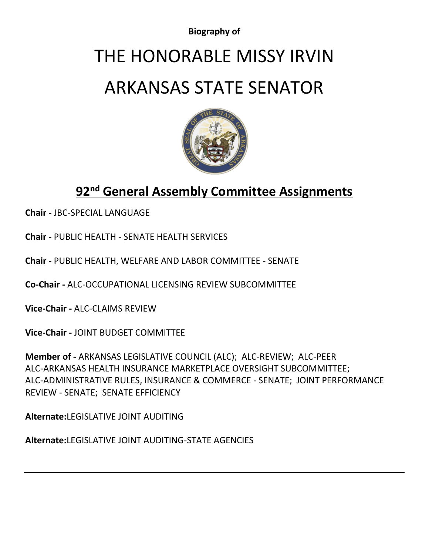**Biography of**

## THE HONORABLE MISSY IRVIN

## ARKANSAS STATE SENATOR



## **92nd General Assembly Committee Assignments**

**Chair -** [JBC-SPECIAL LANGUAGE](http://www.arkleg.state.ar.us/assembly/2019/2019R/Pages/CommitteeDetail.aspx?committeecode=028)

**Chair -** PUBLIC HEALTH - [SENATE HEALTH SERVICES](http://www.arkleg.state.ar.us/assembly/2019/2019R/Pages/CommitteeDetail.aspx?committeecode=428)

**Chair -** [PUBLIC HEALTH, WELFARE AND LABOR COMMITTEE -](http://www.arkleg.state.ar.us/assembly/2019/2019R/Pages/CommitteeDetail.aspx?committeecode=430) SENATE

**Co-Chair -** [ALC-OCCUPATIONAL LICENSING REVIEW SUBCOMMITTEE](http://www.arkleg.state.ar.us/assembly/2019/2019R/Pages/CommitteeDetail.aspx?committeecode=049)

**Vice-Chair -** [ALC-CLAIMS REVIEW](http://www.arkleg.state.ar.us/assembly/2019/2019R/Pages/CommitteeDetail.aspx?committeecode=004)

**Vice-Chair -** [JOINT BUDGET COMMITTEE](http://www.arkleg.state.ar.us/assembly/2019/2019R/Pages/CommitteeDetail.aspx?committeecode=005)

**Member of -** [ARKANSAS LEGISLATIVE COUNCIL \(ALC\);](http://www.arkleg.state.ar.us/assembly/2019/2019R/Pages/CommitteeDetail.aspx?committeecode=000) [ALC-REVIEW;](http://www.arkleg.state.ar.us/assembly/2019/2019R/Pages/CommitteeDetail.aspx?committeecode=010) [ALC-PEER](http://www.arkleg.state.ar.us/assembly/2019/2019R/Pages/CommitteeDetail.aspx?committeecode=020) [ALC-ARKANSAS HEALTH INSURANCE MARKETPLACE OVERSIGHT SUBCOMMITTEE;](http://www.arkleg.state.ar.us/assembly/2019/2019R/Pages/CommitteeDetail.aspx?committeecode=032) [ALC-ADMINISTRATIVE RULES,](http://www.arkleg.state.ar.us/assembly/2019/2019R/Pages/CommitteeDetail.aspx?committeecode=040) [INSURANCE & COMMERCE -](http://www.arkleg.state.ar.us/assembly/2019/2019R/Pages/CommitteeDetail.aspx?committeecode=490) SENATE; [JOINT PERFORMANCE](http://www.arkleg.state.ar.us/assembly/2019/2019R/Pages/CommitteeDetail.aspx?committeecode=524)  [REVIEW -](http://www.arkleg.state.ar.us/assembly/2019/2019R/Pages/CommitteeDetail.aspx?committeecode=524) SENATE; [SENATE EFFICIENCY](http://www.arkleg.state.ar.us/assembly/2019/2019R/Pages/CommitteeDetail.aspx?committeecode=951)

**Alternate:**[LEGISLATIVE JOINT AUDITING](http://www.arkleg.state.ar.us/assembly/2019/2019R/Pages/CommitteeDetail.aspx?committeecode=905)

**Alternate:**[LEGISLATIVE JOINT AUDITING-STATE AGENCIES](http://www.arkleg.state.ar.us/assembly/2019/2019R/Pages/CommitteeDetail.aspx?committeecode=920)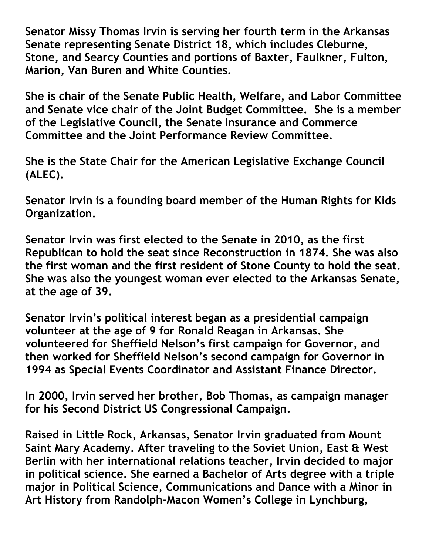**Senator Missy Thomas Irvin is serving her fourth term in the Arkansas Senate representing Senate District 18, which includes Cleburne, Stone, and Searcy Counties and portions of Baxter, Faulkner, Fulton, Marion, Van Buren and White Counties.** 

**She is chair of the Senate Public Health, Welfare, and Labor Committee and Senate vice chair of the Joint Budget Committee. She is a member of the Legislative Council, the Senate Insurance and Commerce Committee and the Joint Performance Review Committee.**

**She is the State Chair for the American Legislative Exchange Council (ALEC).** 

**Senator Irvin is a founding board member of the Human Rights for Kids Organization.**

**Senator Irvin was first elected to the Senate in 2010, as the first Republican to hold the seat since Reconstruction in 1874. She was also the first woman and the first resident of Stone County to hold the seat. She was also the youngest woman ever elected to the Arkansas Senate, at the age of 39.**

**Senator Irvin's political interest began as a presidential campaign volunteer at the age of 9 for Ronald Reagan in Arkansas. She volunteered for Sheffield Nelson's first campaign for Governor, and then worked for Sheffield Nelson's second campaign for Governor in 1994 as Special Events Coordinator and Assistant Finance Director.**

**In 2000, Irvin served her brother, Bob Thomas, as campaign manager for his Second District US Congressional Campaign.**

**Raised in Little Rock, Arkansas, Senator Irvin graduated from Mount Saint Mary Academy. After traveling to the Soviet Union, East & West Berlin with her international relations teacher, Irvin decided to major in political science. She earned a Bachelor of Arts degree with a triple major in Political Science, Communications and Dance with a Minor in Art History from Randolph-Macon Women's College in Lynchburg,**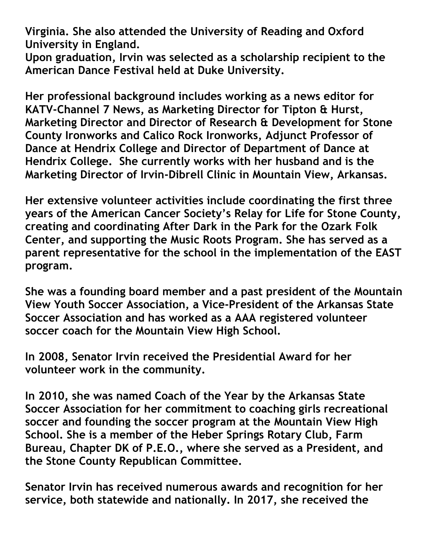**Virginia. She also attended the University of Reading and Oxford University in England.** 

**Upon graduation, Irvin was selected as a scholarship recipient to the American Dance Festival held at Duke University.**

**Her professional background includes working as a news editor for KATV-Channel 7 News, as Marketing Director for Tipton & Hurst, Marketing Director and Director of Research & Development for Stone County Ironworks and Calico Rock Ironworks, Adjunct Professor of Dance at Hendrix College and Director of Department of Dance at Hendrix College. She currently works with her husband and is the Marketing Director of Irvin-Dibrell Clinic in Mountain View, Arkansas.**

**Her extensive volunteer activities include coordinating the first three years of the American Cancer Society's Relay for Life for Stone County, creating and coordinating After Dark in the Park for the Ozark Folk Center, and supporting the Music Roots Program. She has served as a parent representative for the school in the implementation of the EAST program.**

**She was a founding board member and a past president of the Mountain View Youth Soccer Association, a Vice-President of the Arkansas State Soccer Association and has worked as a AAA registered volunteer soccer coach for the Mountain View High School.**

**In 2008, Senator Irvin received the Presidential Award for her volunteer work in the community.**

**In 2010, she was named Coach of the Year by the Arkansas State Soccer Association for her commitment to coaching girls recreational soccer and founding the soccer program at the Mountain View High School. She is a member of the Heber Springs Rotary Club, Farm Bureau, Chapter DK of P.E.O., where she served as a President, and the Stone County Republican Committee.**

**Senator Irvin has received numerous awards and recognition for her service, both statewide and nationally. In 2017, she received the**